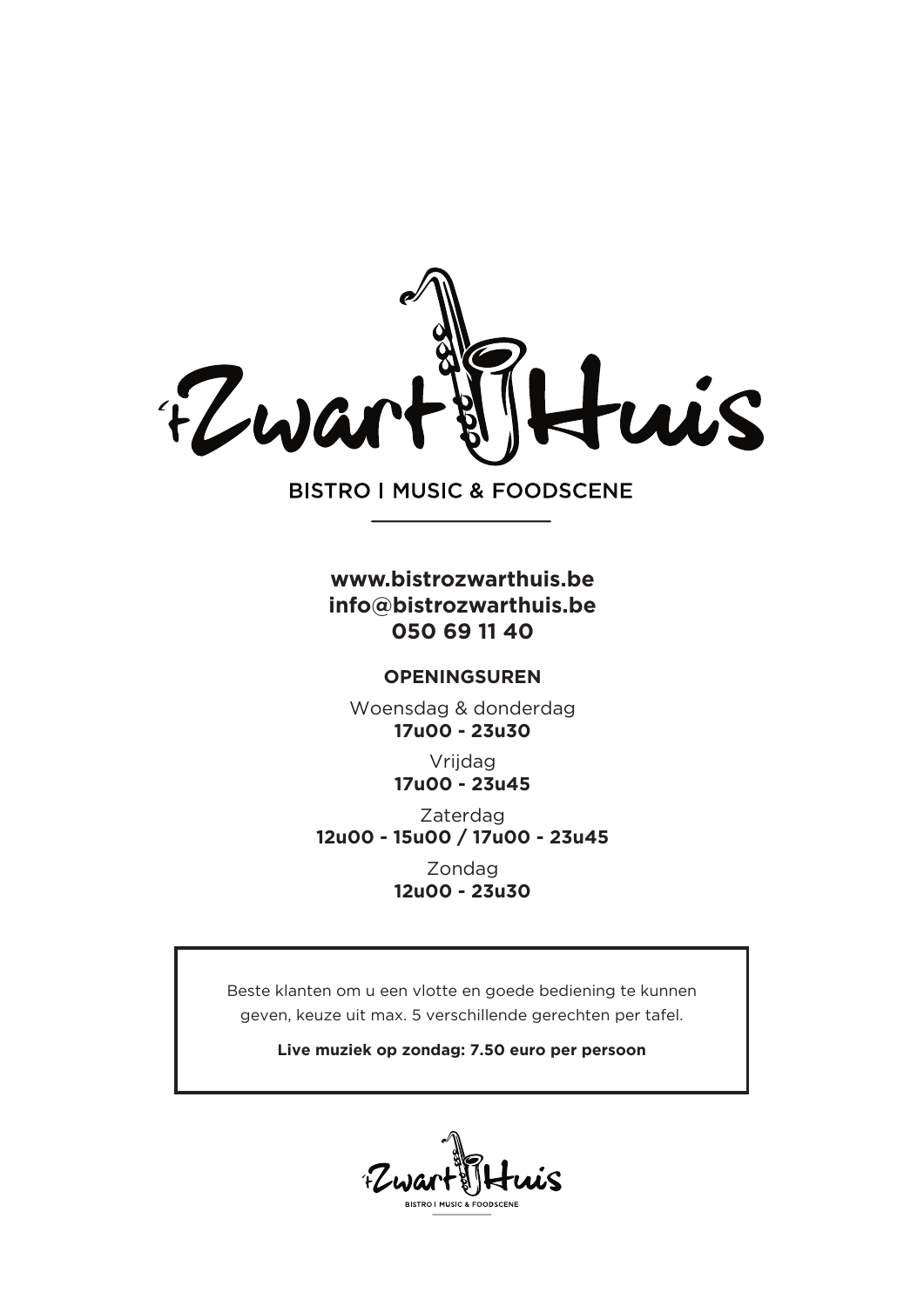

**BISTRO I MUSIC & FOODSCENE** 

#### **www.bistrozwarthuis.be info@bistrozwarthuis.be 050 69 11 40**

#### **OPENINGSUREN**

Woensdag & donderdag **17u00 - 23u30**

> Vrijdag **17u00 - 23u45**

Zaterdag **12u00 - 15u00 / 17u00 - 23u45**

> Zondag **12u00 - 23u30**

Beste klanten om u een vlotte en goede bediening te kunnen geven, keuze uit max. 5 verschillende gerechten per tafel.

**Live muziek op zondag: 7.50 euro per persoon**

EW BISTRO LMUSIC & EOODSCEN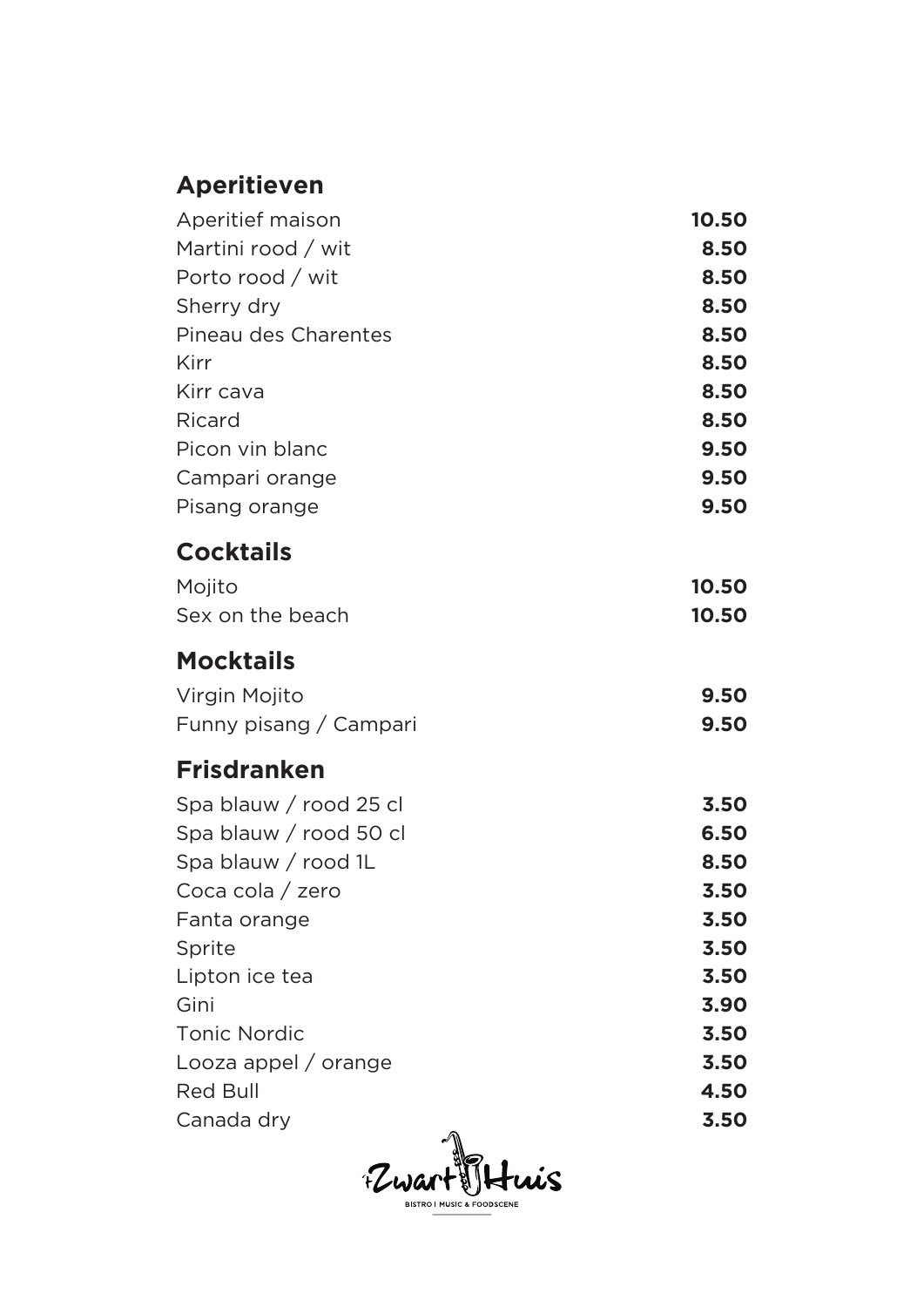# **Aperitieven**

| Aperitief maison       | 10.50 |
|------------------------|-------|
| Martini rood / wit     | 8.50  |
| Porto rood / wit       | 8.50  |
| Sherry dry             | 8.50  |
| Pineau des Charentes   | 8.50  |
| Kirr                   | 8.50  |
| Kirr cava              | 8.50  |
| Ricard                 | 8.50  |
| Picon vin blanc        | 9.50  |
| Campari orange         | 9.50  |
| Pisang orange          | 9.50  |
| <b>Cocktails</b>       |       |
| Mojito                 | 10.50 |
| Sex on the beach       | 10.50 |
| <b>Mocktails</b>       |       |
| Virgin Mojito          | 9.50  |
| Funny pisang / Campari | 9.50  |
| <b>Frisdranken</b>     |       |
| Spa blauw / rood 25 cl | 3.50  |
| Spa blauw / rood 50 cl | 6.50  |
| Spa blauw / rood 1L    | 8.50  |
| Coca cola / zero       | 3.50  |
| Fanta orange           | 3.50  |
| Sprite                 | 3.50  |
| Lipton ice tea         | 3.50  |
| Gini                   | 3.90  |
| <b>Tonic Nordic</b>    | 3.50  |
| Looza appel / orange   | 3.50  |
| <b>Red Bull</b>        | 4.50  |
| Canada dry<br>⋒        | 3.50  |
|                        |       |

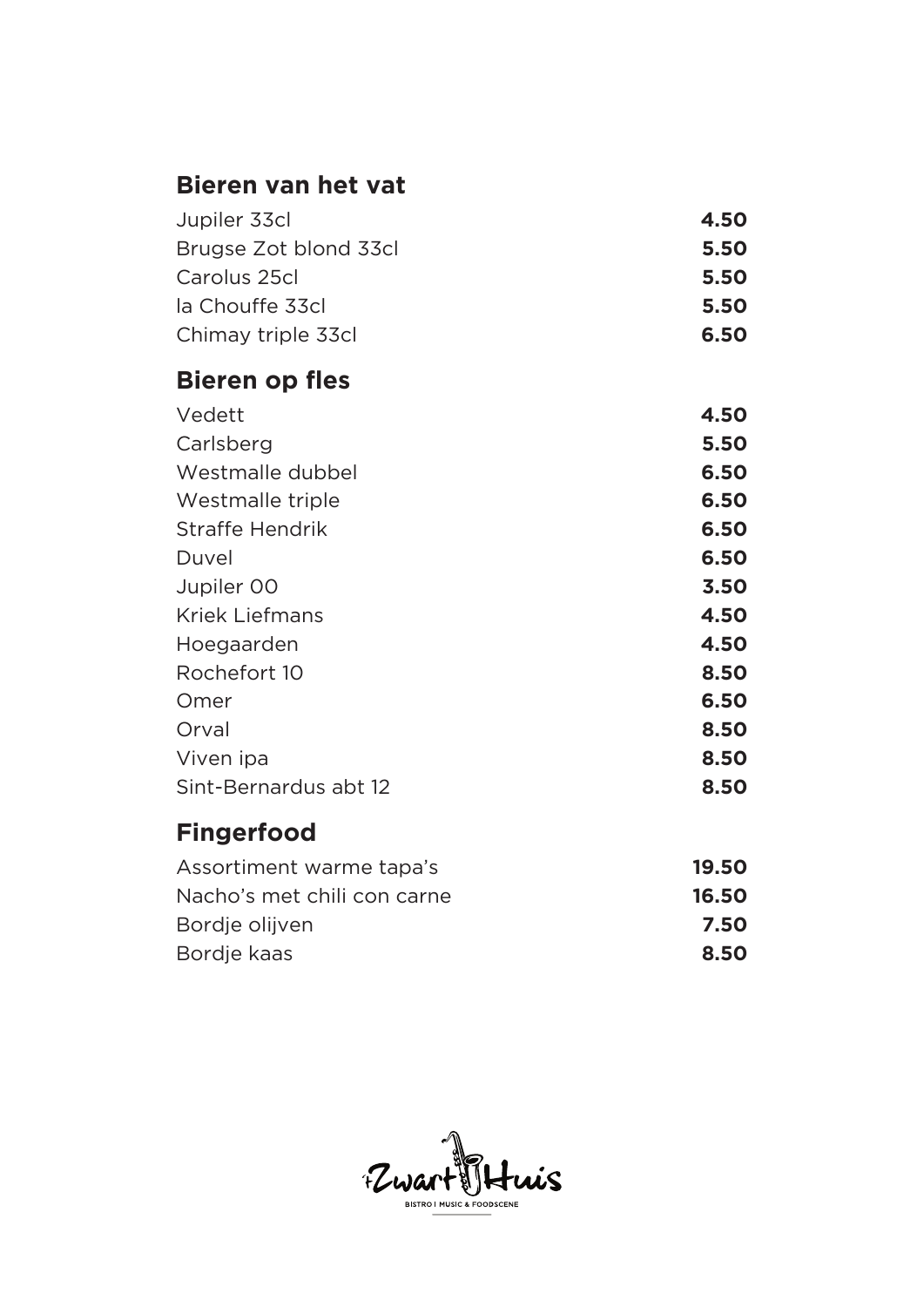## **Bieren van het vat**

| Jupiler 33cl          | 4.50 |
|-----------------------|------|
| Brugse Zot blond 33cl | 5.50 |
| Carolus 25cl          | 5.50 |
| la Chouffe 33cl       | 5.50 |
| Chimay triple 33cl    | 6.50 |

# **Bieren op fles**

| Vedett                 | 4.50 |
|------------------------|------|
| Carlsberg              | 5.50 |
| Westmalle dubbel       | 6.50 |
| Westmalle triple       | 6.50 |
| <b>Straffe Hendrik</b> | 6.50 |
| Duvel                  | 6.50 |
| Jupiler 00             | 3.50 |
| <b>Kriek Liefmans</b>  | 4.50 |
| Hoegaarden             | 4.50 |
| Rochefort 10           | 8.50 |
| Omer                   | 6.50 |
| Orval                  | 8.50 |
| Viven ipa              | 8.50 |
| Sint-Bernardus abt 12  | 8.50 |
|                        |      |

# **Fingerfood**

| Assortiment warme tapa's    | 19.50 |
|-----------------------------|-------|
| Nacho's met chili con carne | 16.50 |
| Bordje olijven              | 7.50  |
| Bordje kaas                 | 8.50  |

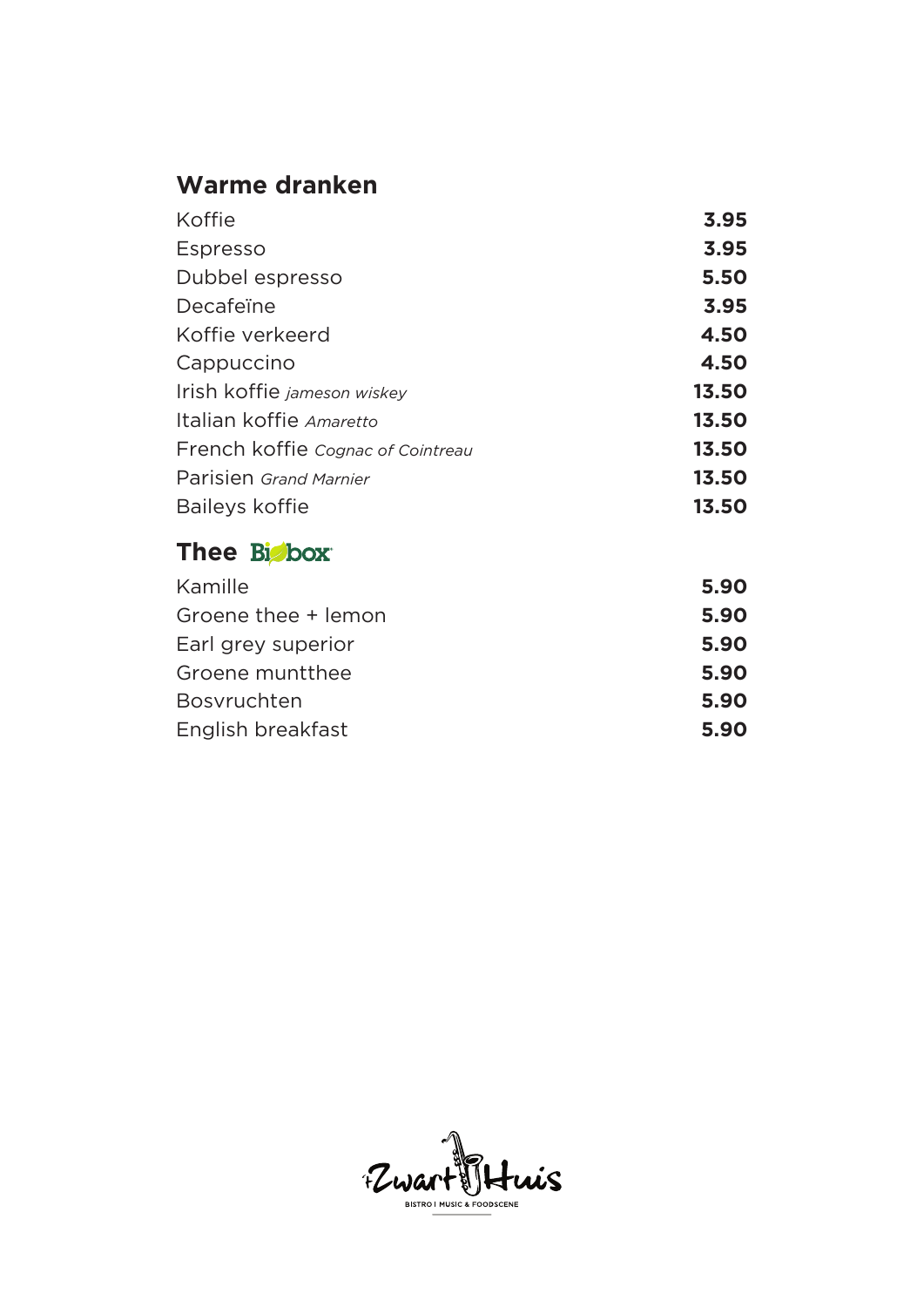# **Warme dranken**

| Koffie                            | 3.95  |
|-----------------------------------|-------|
| Espresso                          | 3.95  |
| Dubbel espresso                   | 5.50  |
| Decafeïne                         | 3.95  |
| Koffie verkeerd                   | 4.50  |
| Cappuccino                        | 4.50  |
| Irish koffie jameson wiskey       | 13.50 |
| Italian koffie Amaretto           | 13.50 |
| French koffie Cognac of Cointreau | 13.50 |
| Parisien Grand Marnier            | 13.50 |
| Baileys koffie                    | 13.50 |

### Thee Bisbox

| Kamille             | 5.90 |
|---------------------|------|
| Groene thee + lemon | 5.90 |
| Earl grey superior  | 5.90 |
| Groene munt thee    | 5.90 |
| <b>Bosvruchten</b>  | 5.90 |
| English breakfast   | 5.90 |

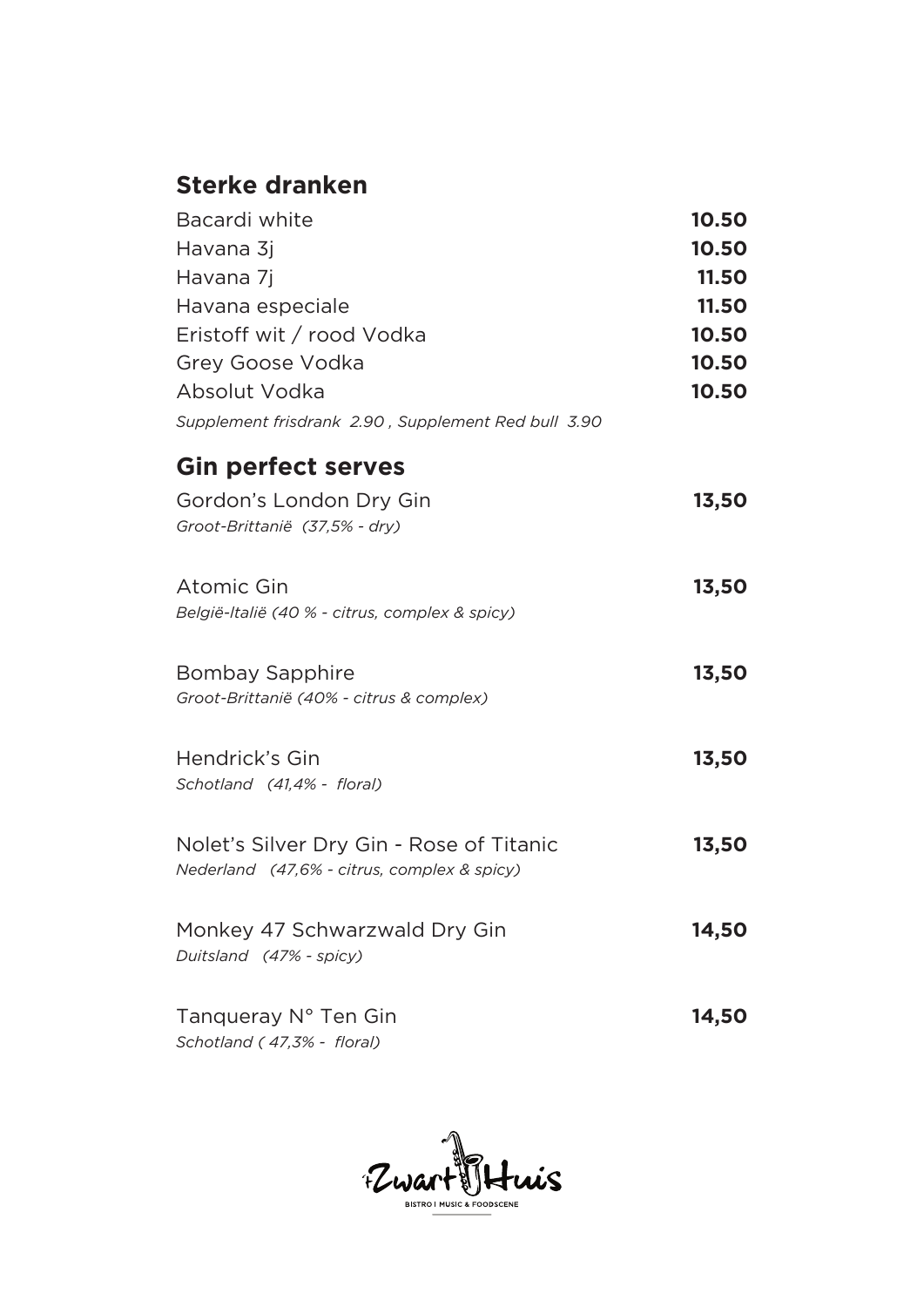# **Sterke dranken**

| Bacardi white<br>Havana 3j                                                              | 10.50<br>10.50 |
|-----------------------------------------------------------------------------------------|----------------|
| Havana 7j                                                                               | 11.50          |
| Havana especiale                                                                        | 11.50          |
| Eristoff wit / rood Vodka                                                               | 10.50          |
| Grey Goose Vodka                                                                        | 10.50          |
| Absolut Vodka                                                                           | 10.50          |
| Supplement frisdrank 2.90, Supplement Red bull 3.90                                     |                |
| <b>Gin perfect serves</b>                                                               |                |
| Gordon's London Dry Gin<br>Groot-Brittanië (37,5% - dry)                                | 13,50          |
| Atomic Gin<br>België-Italië (40 % - citrus, complex & spicy)                            | 13,50          |
| <b>Bombay Sapphire</b><br>Groot-Brittanië (40% - citrus & complex)                      | 13,50          |
| Hendrick's Gin<br>Schotland (41,4% - floral)                                            | 13,50          |
| Nolet's Silver Dry Gin - Rose of Titanic<br>Nederland (47,6% - citrus, complex & spicy) | 13,50          |
| Monkey 47 Schwarzwald Dry Gin<br>Duitsland (47% - spicy)                                | 14,50          |
| Tanqueray N° Ten Gin<br>Schotland (47,3% - floral)                                      | 14,50          |

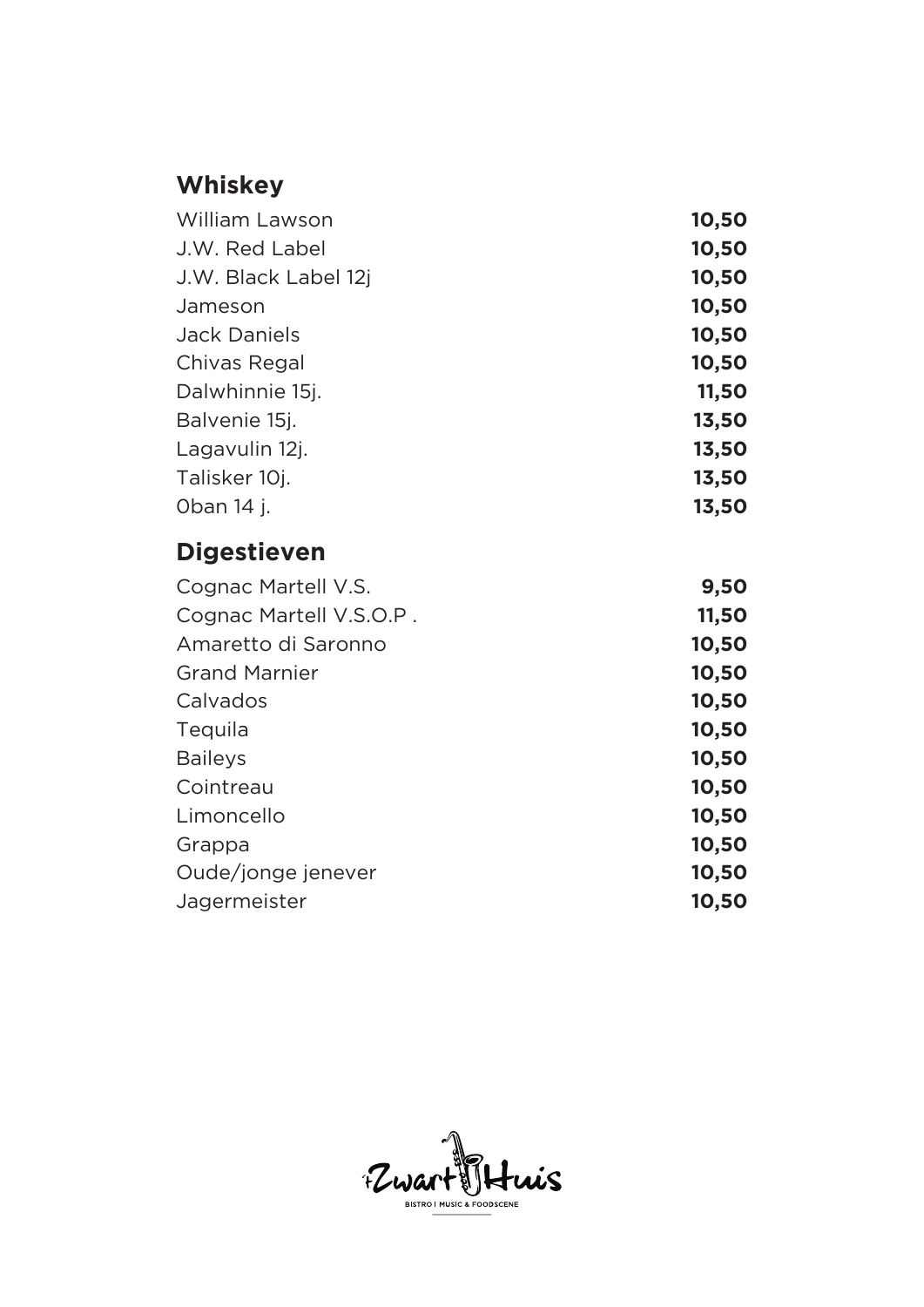# **Whiskey**

| William Lawson          | 10,50 |
|-------------------------|-------|
| J.W. Red Label          | 10,50 |
| J.W. Black Label 12j    | 10,50 |
| Jameson                 | 10,50 |
| <b>Jack Daniels</b>     | 10,50 |
| Chivas Regal            | 10,50 |
| Dalwhinnie 15j.         | 11,50 |
| Balvenie 15j.           | 13,50 |
| Lagavulin 12j.          | 13,50 |
| Talisker 10j.           | 13,50 |
| Oban 14 j.              | 13,50 |
| <b>Digestieven</b>      |       |
| Cognac Martell V.S.     | 9,50  |
| Cognac Martell V.S.O.P. | 11,50 |
| Amaretto di Saronno     | 10,50 |
| <b>Grand Marnier</b>    | 10,50 |
| Calvados                | 10,50 |
| Tequila                 | 10,50 |
| <b>Baileys</b>          | 10,50 |
| Cointreau               | 10,50 |
| Limoncello              | 10,50 |
| Grappa                  | 10,50 |
| Oude/jonge jenever      | 10,50 |
| Jagermeister            | 10,50 |

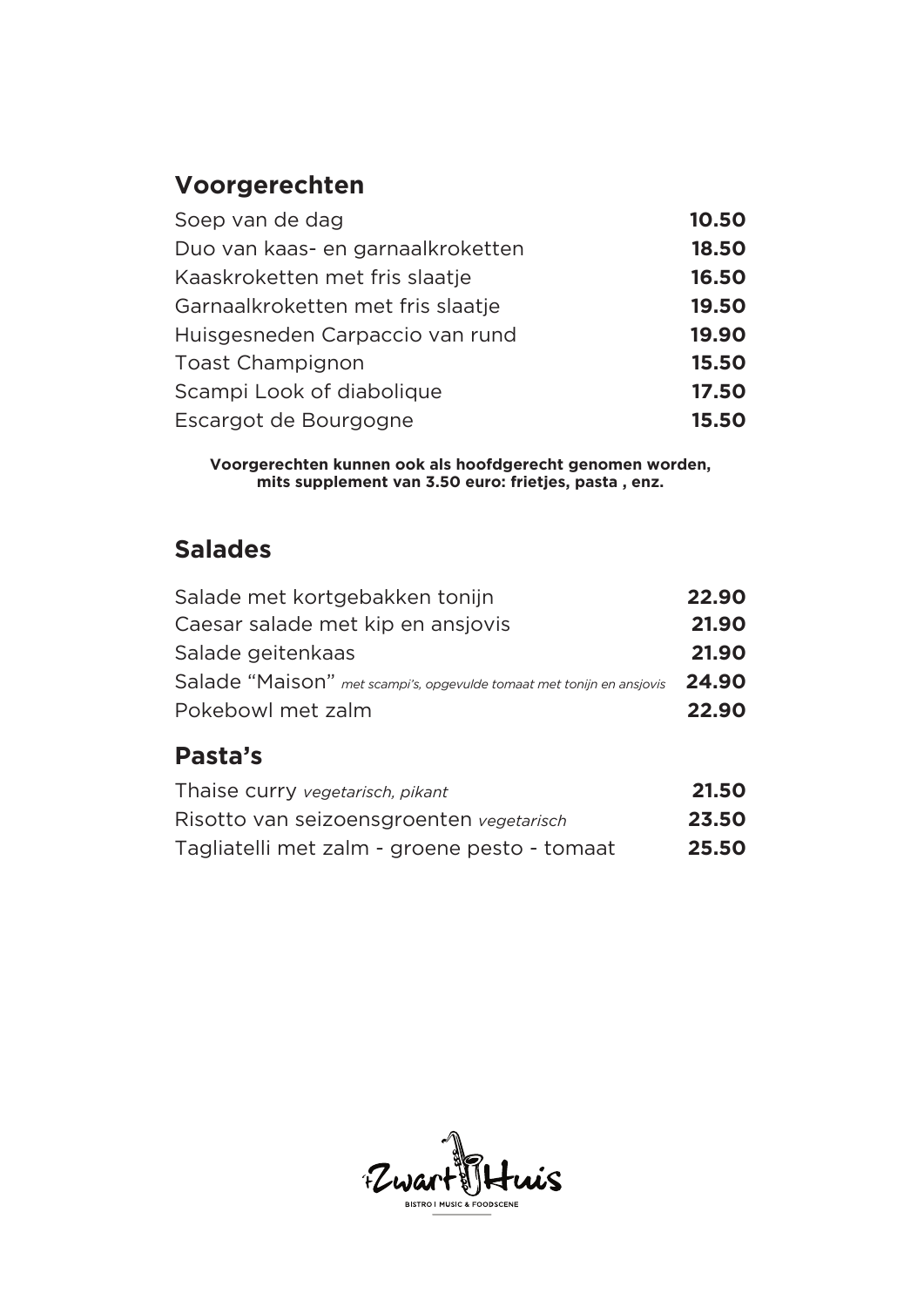# **Voorgerechten**

| Soep van de dag                   | 10.50 |
|-----------------------------------|-------|
| Duo van kaas- en garnaalkroketten | 18.50 |
| Kaaskroketten met fris slaatje    | 16.50 |
| Garnaalkroketten met fris slaatje | 19.50 |
| Huisgesneden Carpaccio van rund   | 19.90 |
| <b>Toast Champignon</b>           | 15.50 |
| Scampi Look of diabolique         | 17.50 |
| Escargot de Bourgogne             | 15.50 |

**Voorgerechten kunnen ook als hoofdgerecht genomen worden, mits supplement van 3.50 euro: frietjes, pasta , enz.**

### **Salades**

| Salade met kortgebakken tonijn                                        | 22.90 |
|-----------------------------------------------------------------------|-------|
| Caesar salade met kip en ansjovis                                     | 21.90 |
| Salade geitenkaas                                                     | 21.90 |
| Salade "Maison" met scampi's, opgevulde tomaat met tonijn en ansjovis | 24.90 |
| Pokebowl met zalm                                                     | 22.90 |

### **Pasta's**

| Thaise curry vegetarisch, pikant             | 21.50 |
|----------------------------------------------|-------|
| Risotto van seizoensgroenten vegetarisch     | 23.50 |
| Tagliatelli met zalm - groene pesto - tomaat | 25.50 |

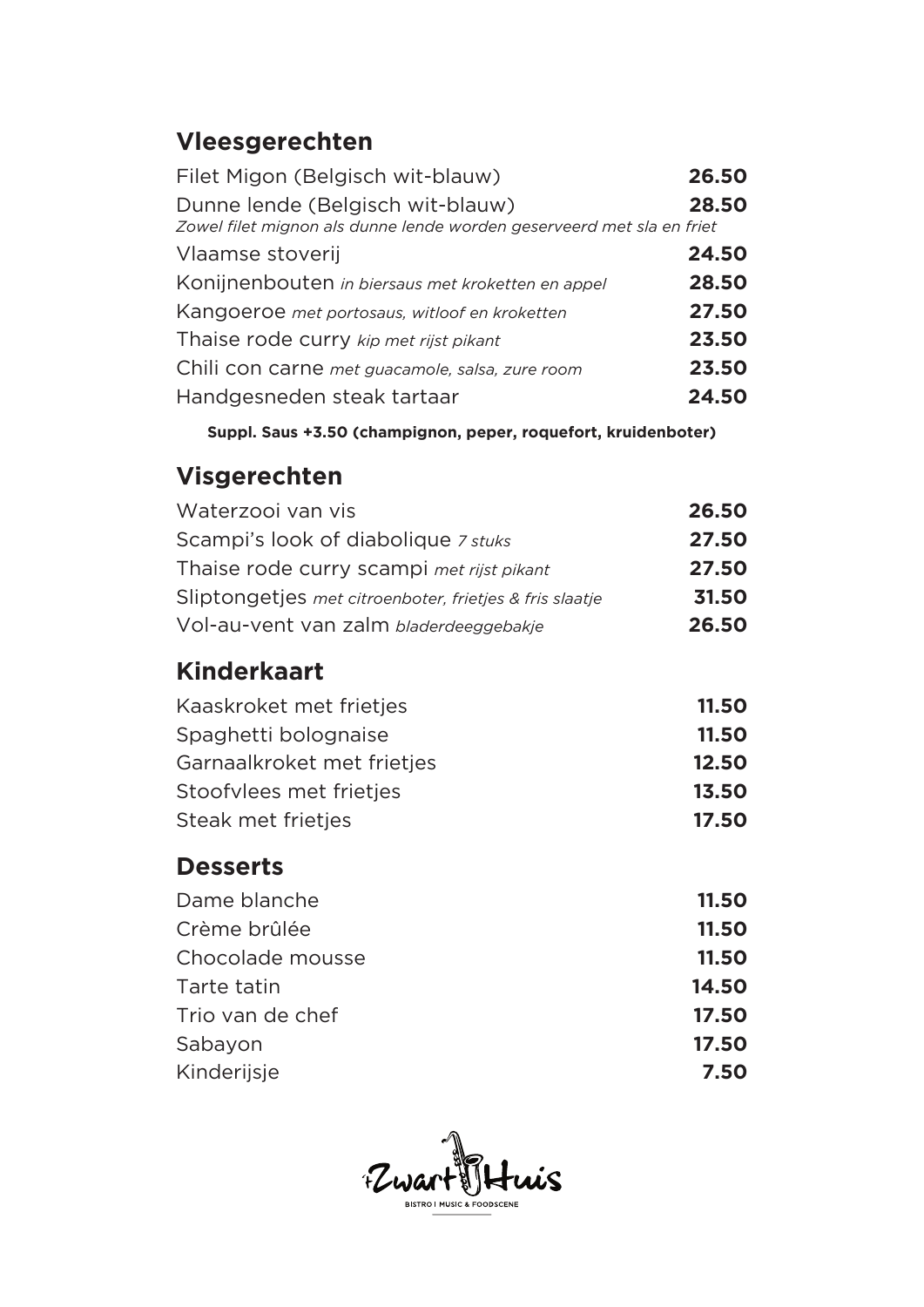# **Vleesgerechten**

| Filet Migon (Belgisch wit-blauw)                                                                          | 26.50 |
|-----------------------------------------------------------------------------------------------------------|-------|
| Dunne lende (Belgisch wit-blauw)<br>Zowel filet mignon als dunne lende worden geserveerd met sla en friet | 28.50 |
| Vlaamse stoverij                                                                                          | 24.50 |
| Konijnenbouten in biersaus met kroketten en appel                                                         | 28.50 |
| Kangoeroe met portosaus, witloof en kroketten                                                             | 27.50 |
| Thaise rode curry kip met rijst pikant                                                                    | 23.50 |
| Chili con carne met guacamole, salsa, zure room                                                           | 23.50 |
| Handgesneden steak tartaar                                                                                | 24.50 |

**Suppl. Saus +3.50 (champignon, peper, roquefort, kruidenboter)**

### **Visgerechten**

| Waterzooi van vis                                       | 26.50 |
|---------------------------------------------------------|-------|
| Scampi's look of diabolique 7 stuks                     | 27.50 |
| Thaise rode curry scampi met rijst pikant               | 27.50 |
| Sliptongetjes met citroenboter, frietjes & fris slaatje | 31.50 |
| Vol-au-vent van zalm bladerdeeggebakje                  | 26.50 |

### **Kinderkaart**

| Kaaskroket met frietjes    | 11.50 |
|----------------------------|-------|
| Spaghetti bolognaise       | 11.50 |
| Garnaalkroket met frietjes | 12.50 |
| Stoofylees met frietjes    | 13.50 |
| Steak met frietjes         | 17.50 |

### **Desserts**

| Dame blanche     | 11.50 |
|------------------|-------|
| Crème brûlée     | 11.50 |
| Chocolade mousse | 11.50 |
| Tarte tatin      | 14.50 |
| Trio van de chef | 17.50 |
| Sabayon          | 17.50 |
| Kinderijsje      | 7.50  |

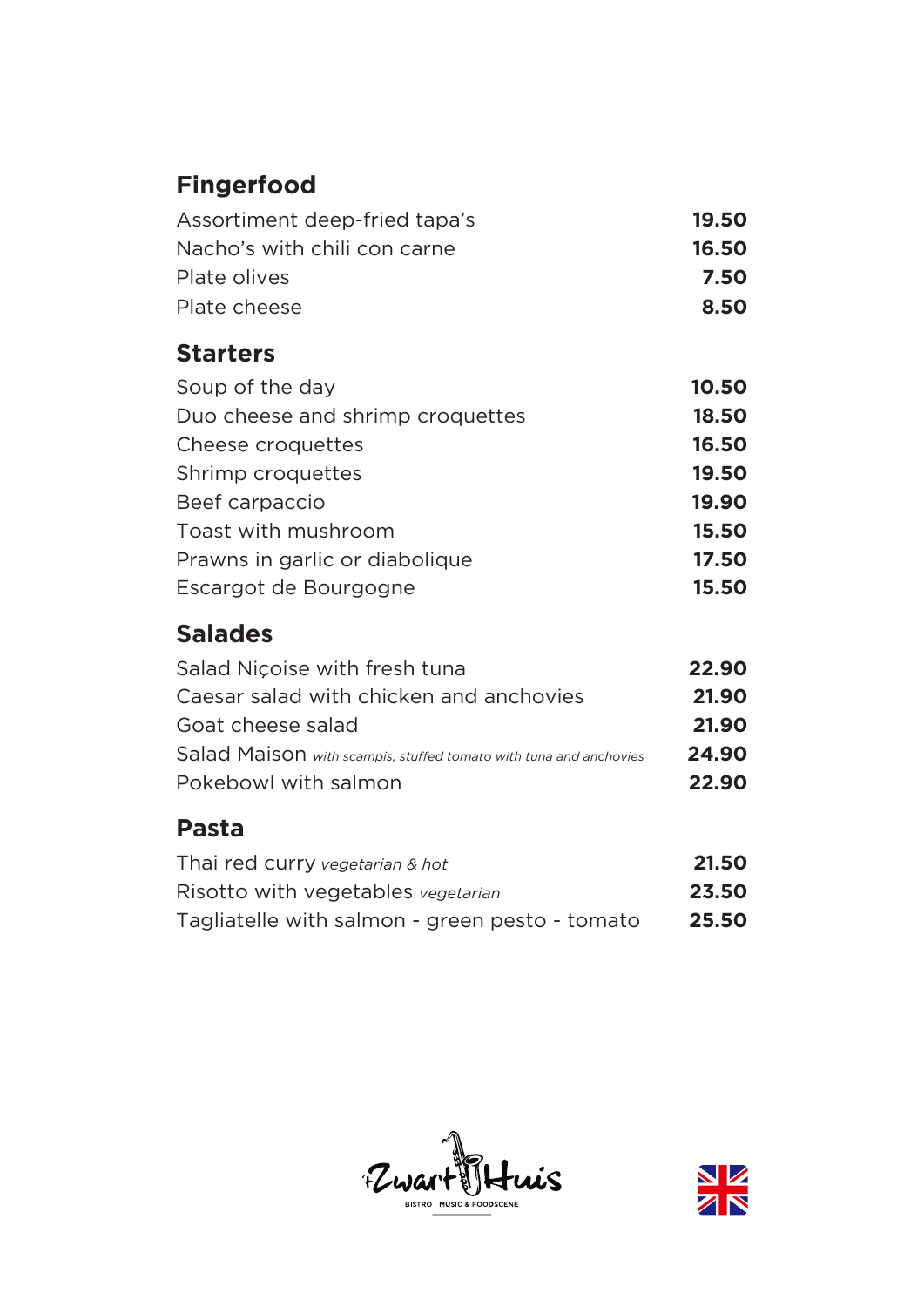# **Fingerfood**

| 19.50 |
|-------|
| 16.50 |
| 7.50  |
| 8.50  |
|       |

# **Starters**

| Soup of the day                  | 10.50 |
|----------------------------------|-------|
| Duo cheese and shrimp croquettes | 18.50 |
| Cheese croquettes                | 16.50 |
| Shrimp croquettes                | 19.50 |
| Beef carpaccio                   | 19.90 |
| Toast with mushroom              | 15.50 |
| Prawns in garlic or diabolique   | 17.50 |
| Escargot de Bourgogne            | 15.50 |

# **Salades**

| Salad Nicoise with fresh tuna                                     | 22.90 |
|-------------------------------------------------------------------|-------|
| Caesar salad with chicken and anchovies                           | 21.90 |
| Goat cheese salad                                                 | 21.90 |
| Salad Maison with scampis, stuffed tomato with tuna and anchovies | 24.90 |
| Pokebowl with salmon                                              | 22.90 |
|                                                                   |       |

### **Pasta**

| Thai red curry vegetarian & hot                | 21.50 |
|------------------------------------------------|-------|
| Risotto with vegetables vegetarian             | 23.50 |
| Tagliatelle with salmon - green pesto - tomato | 25.50 |



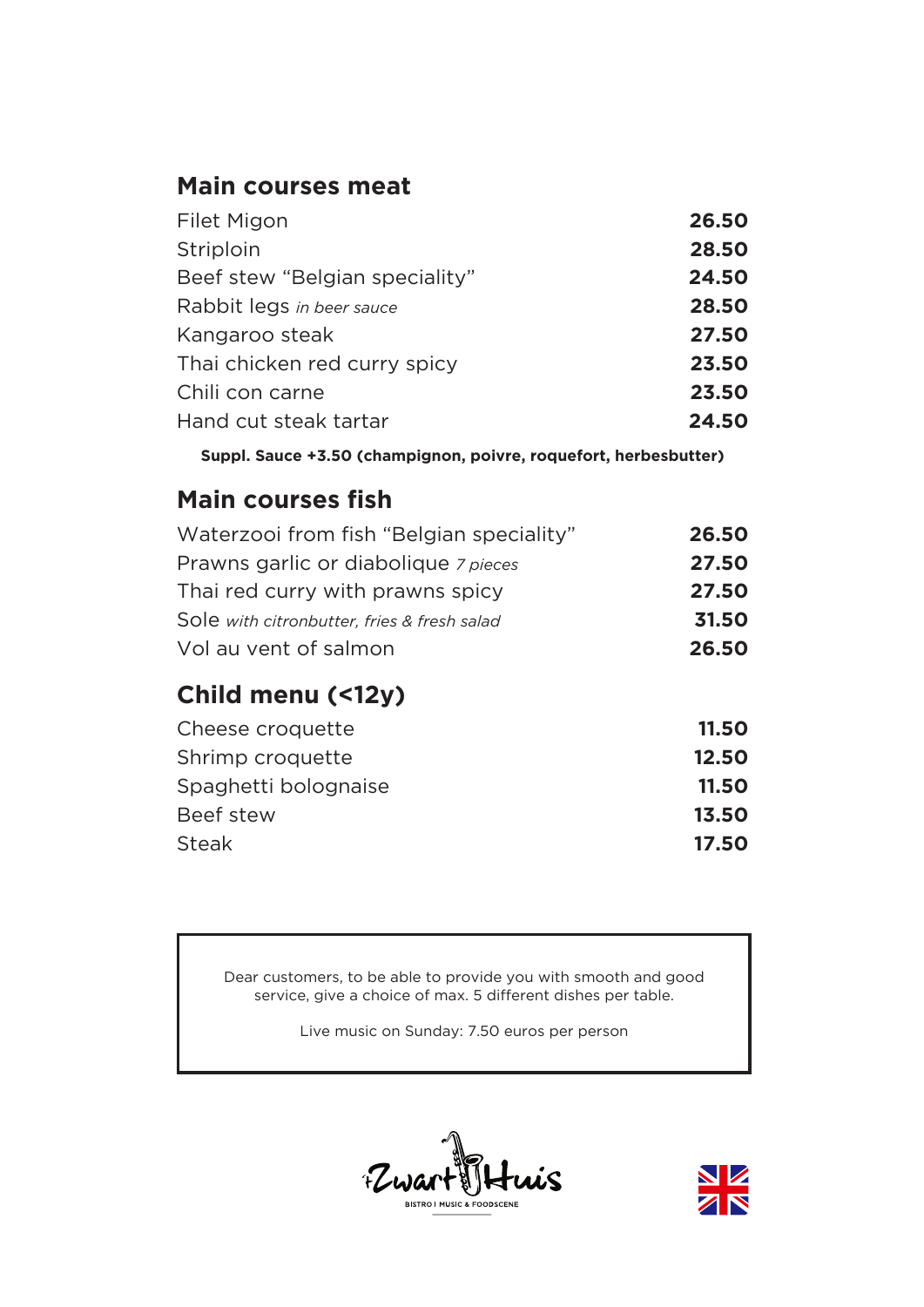### **Main courses meat**

| Filet Migon                    | 26.50 |
|--------------------------------|-------|
| Striploin                      | 28,50 |
| Beef stew "Belgian speciality" | 24.50 |
| Rabbit legs in beer sauce      | 28,50 |
| Kangaroo steak                 | 27.50 |
| Thai chicken red curry spicy   | 23.50 |
| Chili con carne                | 23.50 |
| Hand cut steak tartar          | 24.50 |
|                                |       |

**Suppl. Sauce +3.50 (champignon, poivre, roquefort, herbesbutter)**

### **Main courses fish**

| Waterzooi from fish "Belgian speciality"    | 26.50 |
|---------------------------------------------|-------|
| Prawns garlic or diabolique 7 pieces        | 27.50 |
| Thai red curry with prawns spicy            | 27.50 |
| Sole with citronbutter, fries & fresh salad | 31.50 |
| Vol au vent of salmon                       | 26.50 |

# **Child menu (<12y)**

| Cheese croquette     | 11.50 |
|----------------------|-------|
| Shrimp croquette     | 12.50 |
| Spaghetti bolognaise | 11.50 |
| Beef stew            | 13.50 |
| <b>Steak</b>         | 17.50 |

Dear customers, to be able to provide you with smooth and good service, give a choice of max. 5 different dishes per table.

Live music on Sunday: 7.50 euros per person



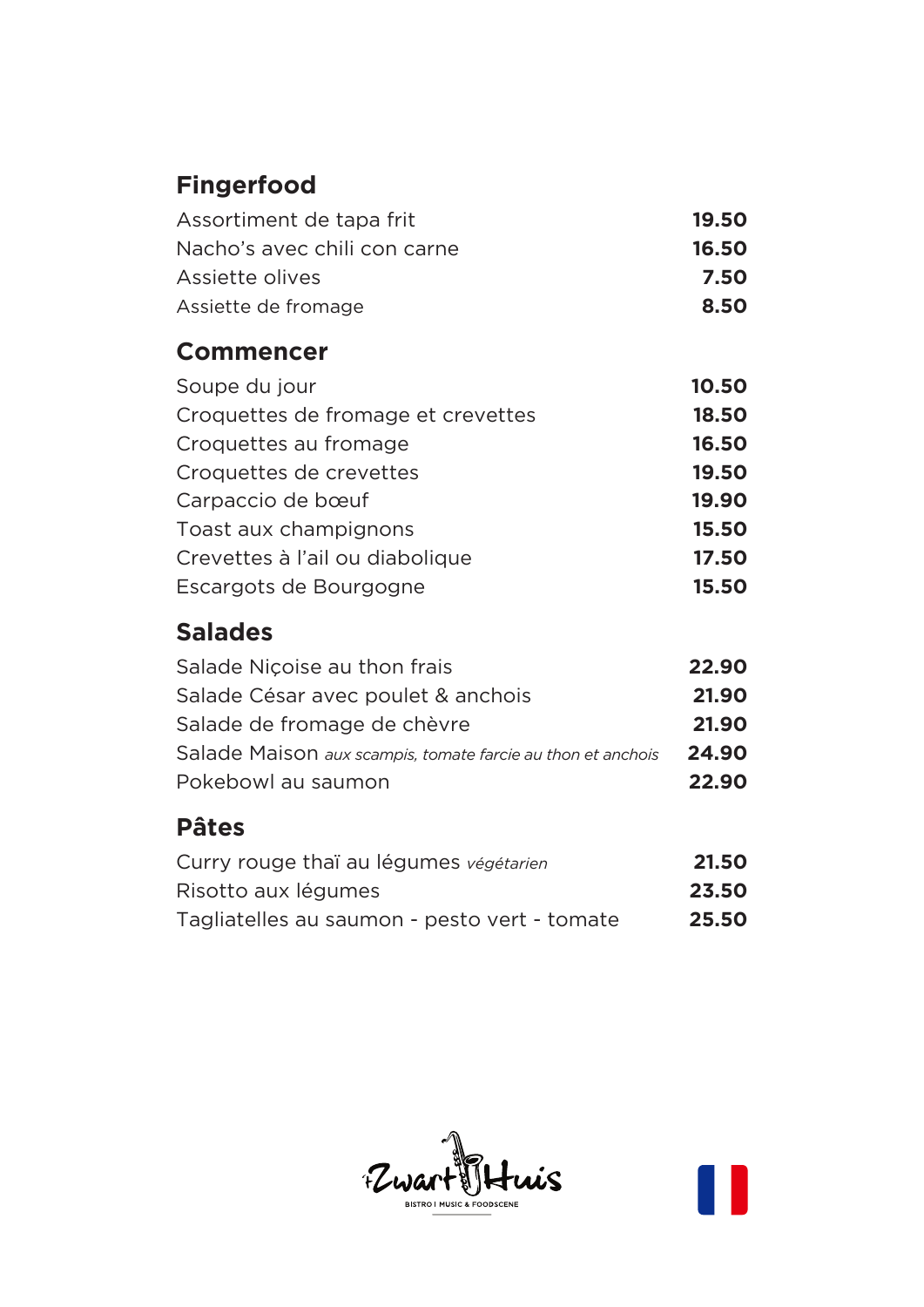# **Fingerfood**

| Assortiment de tapa frit     | 19.50 |
|------------------------------|-------|
| Nacho's avec chili con carne | 16.50 |
| Assiette olives              | 7.50  |
| Assiette de fromage          | 8.50  |

### **Commencer**

| Soupe du jour                      | 10.50 |
|------------------------------------|-------|
| Croquettes de fromage et crevettes | 18.50 |
| Croquettes au fromage              | 16.50 |
| Croquettes de crevettes            | 19.50 |
| Carpaccio de bœuf                  | 19.90 |
| Toast aux champignons              | 15.50 |
| Crevettes à l'ail ou diabolique    | 17.50 |
| Escargots de Bourgogne             | 15.50 |

# **Salades**

| Salade Nicoise au thon frais                                | 22.90 |
|-------------------------------------------------------------|-------|
| Salade César avec poulet & anchois                          | 21.90 |
| Salade de fromage de chèvre                                 | 21.90 |
| Salade Maison aux scampis, tomate farcie au thon et anchois | 24.90 |
| Pokebowl au saumon                                          | 22.90 |
|                                                             |       |

# **Pâtes**

| Curry rouge thaï au légumes végétarien       | 21.50 |
|----------------------------------------------|-------|
| Risotto aux légumes                          | 23.50 |
| Tagliatelles au saumon - pesto vert - tomate | 25.50 |